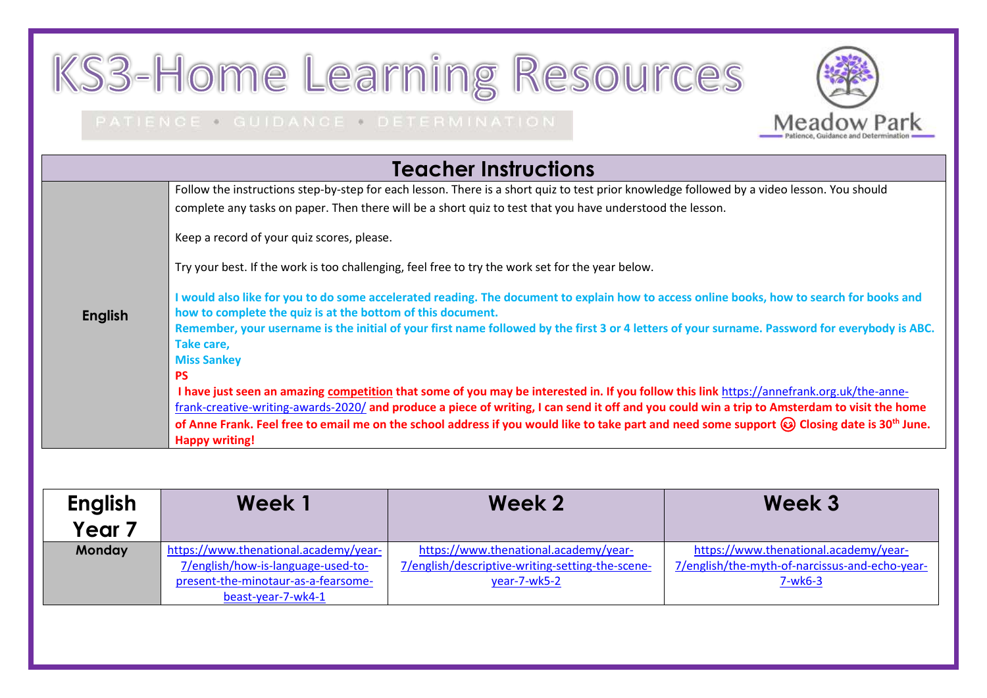## KS3-Home Learning Resources

## PATIENCE . GUIDANCE . DETERMINATION

| <b>Teacher Instructions</b> |                                                                                                                                                              |  |  |
|-----------------------------|--------------------------------------------------------------------------------------------------------------------------------------------------------------|--|--|
|                             | Follow the instructions step-by-step for each lesson. There is a short quiz to test prior knowledge followed by a video lesson. You should                   |  |  |
|                             | complete any tasks on paper. Then there will be a short quiz to test that you have understood the lesson.                                                    |  |  |
|                             | Keep a record of your quiz scores, please.                                                                                                                   |  |  |
|                             | Try your best. If the work is too challenging, feel free to try the work set for the year below.                                                             |  |  |
|                             | I would also like for you to do some accelerated reading. The document to explain how to access online books, how to search for books and                    |  |  |
| <b>English</b>              | how to complete the quiz is at the bottom of this document.                                                                                                  |  |  |
|                             | Remember, your username is the initial of your first name followed by the first 3 or 4 letters of your surname. Password for everybody is ABC.<br>Take care, |  |  |
|                             | <b>Miss Sankey</b>                                                                                                                                           |  |  |
|                             | <b>PS</b>                                                                                                                                                    |  |  |
|                             | I have just seen an amazing competition that some of you may be interested in. If you follow this link https://annefrank.org.uk/the-anne-                    |  |  |
|                             | frank-creative-writing-awards-2020/ and produce a piece of writing, I can send it off and you could win a trip to Amsterdam to visit the home                |  |  |
|                             | of Anne Frank. Feel free to email me on the school address if you would like to take part and need some support @ Closing date is 30 <sup>th</sup> June.     |  |  |
|                             | <b>Happy writing!</b>                                                                                                                                        |  |  |

Meadow Park

| <b>English</b><br>Year <sub>7</sub> | Week 1                                | Week 2                                           | Week 3                                         |
|-------------------------------------|---------------------------------------|--------------------------------------------------|------------------------------------------------|
|                                     |                                       |                                                  |                                                |
| <b>Monday</b>                       | https://www.thenational.academy/year- | https://www.thenational.academy/year-            | https://www.thenational.academy/year-          |
|                                     | 7/english/how-is-language-used-to-    | 7/english/descriptive-writing-setting-the-scene- | 7/english/the-myth-of-narcissus-and-echo-year- |
|                                     | present-the-minotaur-as-a-fearsome-   | year-7-wk5-2                                     | $7-wk6-3$                                      |
|                                     | beast-year-7-wk4-1                    |                                                  |                                                |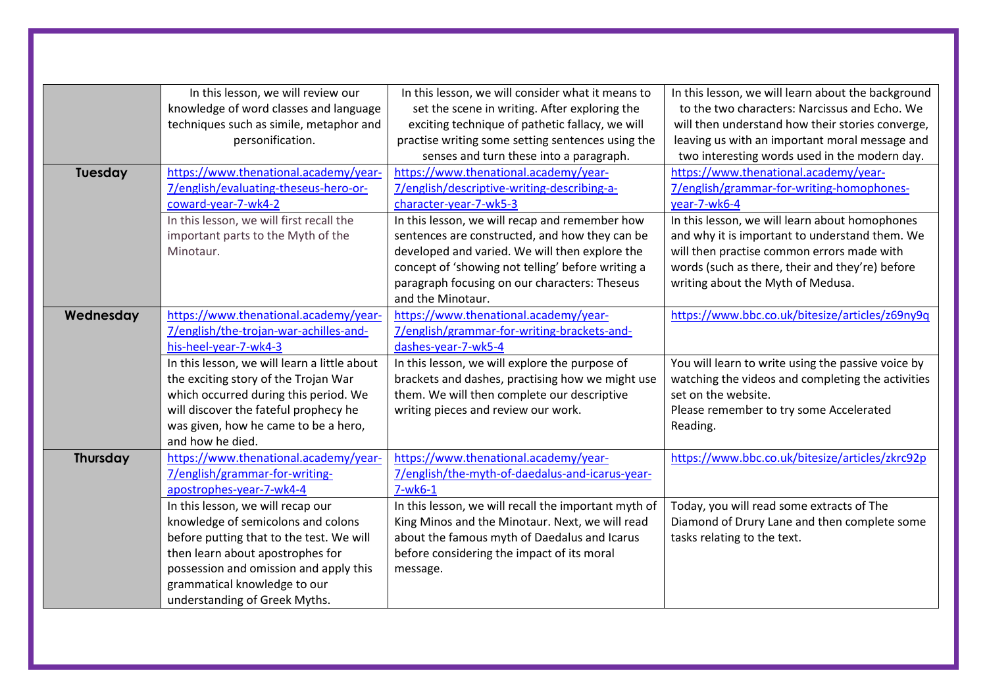|                 | In this lesson, we will review our           | In this lesson, we will consider what it means to    | In this lesson, we will learn about the background |
|-----------------|----------------------------------------------|------------------------------------------------------|----------------------------------------------------|
|                 | knowledge of word classes and language       | set the scene in writing. After exploring the        | to the two characters: Narcissus and Echo. We      |
|                 | techniques such as simile, metaphor and      | exciting technique of pathetic fallacy, we will      | will then understand how their stories converge,   |
|                 | personification.                             | practise writing some setting sentences using the    | leaving us with an important moral message and     |
|                 |                                              | senses and turn these into a paragraph.              | two interesting words used in the modern day.      |
| <b>Tuesday</b>  | https://www.thenational.academy/year-        | https://www.thenational.academy/year-                | https://www.thenational.academy/year-              |
|                 | 7/english/evaluating-theseus-hero-or-        | 7/english/descriptive-writing-describing-a-          | 7/english/grammar-for-writing-homophones-          |
|                 | coward-year-7-wk4-2                          | character-year-7-wk5-3                               | year-7-wk6-4                                       |
|                 | In this lesson, we will first recall the     | In this lesson, we will recap and remember how       | In this lesson, we will learn about homophones     |
|                 | important parts to the Myth of the           | sentences are constructed, and how they can be       | and why it is important to understand them. We     |
|                 | Minotaur.                                    | developed and varied. We will then explore the       | will then practise common errors made with         |
|                 |                                              | concept of 'showing not telling' before writing a    | words (such as there, their and they're) before    |
|                 |                                              | paragraph focusing on our characters: Theseus        | writing about the Myth of Medusa.                  |
|                 |                                              | and the Minotaur.                                    |                                                    |
| Wednesday       | https://www.thenational.academy/year-        | https://www.thenational.academy/year-                | https://www.bbc.co.uk/bitesize/articles/z69ny9q    |
|                 | 7/english/the-trojan-war-achilles-and-       | 7/english/grammar-for-writing-brackets-and-          |                                                    |
|                 | his-heel-year-7-wk4-3                        | dashes-year-7-wk5-4                                  |                                                    |
|                 | In this lesson, we will learn a little about | In this lesson, we will explore the purpose of       | You will learn to write using the passive voice by |
|                 | the exciting story of the Trojan War         | brackets and dashes, practising how we might use     | watching the videos and completing the activities  |
|                 | which occurred during this period. We        | them. We will then complete our descriptive          | set on the website.                                |
|                 | will discover the fateful prophecy he        | writing pieces and review our work.                  | Please remember to try some Accelerated            |
|                 | was given, how he came to be a hero,         |                                                      | Reading.                                           |
|                 | and how he died.                             |                                                      |                                                    |
| <b>Thursday</b> | https://www.thenational.academy/year-        | https://www.thenational.academy/year-                | https://www.bbc.co.uk/bitesize/articles/zkrc92p    |
|                 | 7/english/grammar-for-writing-               | 7/english/the-myth-of-daedalus-and-icarus-year-      |                                                    |
|                 | apostrophes-year-7-wk4-4                     | $7-wk6-1$                                            |                                                    |
|                 | In this lesson, we will recap our            | In this lesson, we will recall the important myth of | Today, you will read some extracts of The          |
|                 | knowledge of semicolons and colons           | King Minos and the Minotaur. Next, we will read      | Diamond of Drury Lane and then complete some       |
|                 | before putting that to the test. We will     | about the famous myth of Daedalus and Icarus         | tasks relating to the text.                        |
|                 | then learn about apostrophes for             | before considering the impact of its moral           |                                                    |
|                 | possession and omission and apply this       | message.                                             |                                                    |
|                 | grammatical knowledge to our                 |                                                      |                                                    |
|                 | understanding of Greek Myths.                |                                                      |                                                    |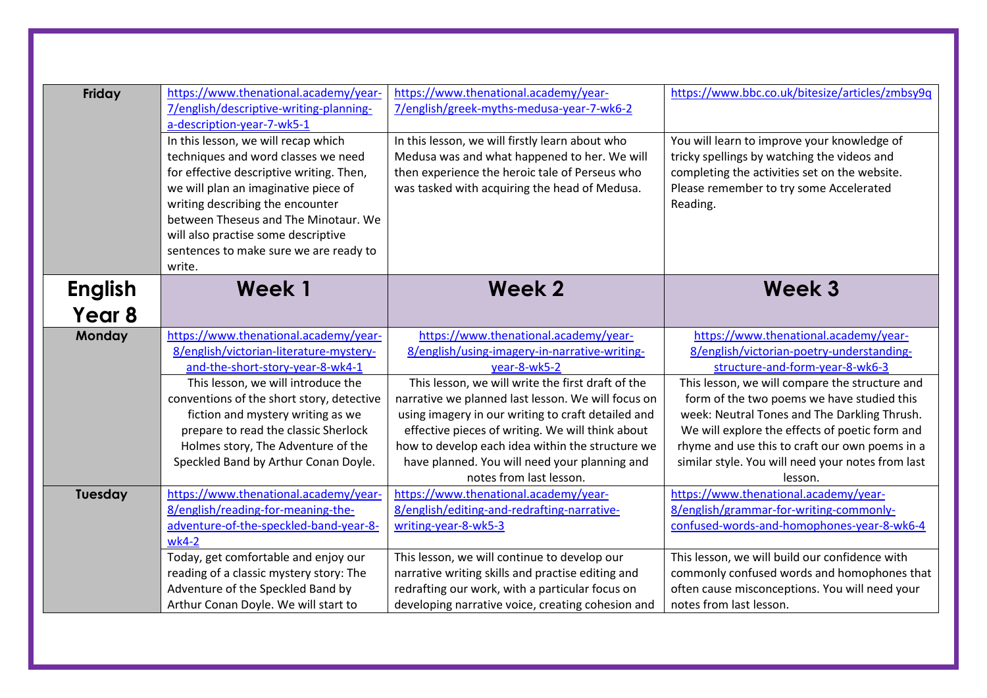| Friday                              | https://www.thenational.academy/year-<br>7/english/descriptive-writing-planning-<br>a-description-year-7-wk5-1<br>In this lesson, we will recap which<br>techniques and word classes we need<br>for effective descriptive writing. Then,<br>we will plan an imaginative piece of<br>writing describing the encounter<br>between Theseus and The Minotaur. We<br>will also practise some descriptive<br>sentences to make sure we are ready to<br>write. | https://www.thenational.academy/year-<br>7/english/greek-myths-medusa-year-7-wk6-2<br>In this lesson, we will firstly learn about who<br>Medusa was and what happened to her. We will<br>then experience the heroic tale of Perseus who<br>was tasked with acquiring the head of Medusa.                                                                                                                                                                    | https://www.bbc.co.uk/bitesize/articles/zmbsy9q<br>You will learn to improve your knowledge of<br>tricky spellings by watching the videos and<br>completing the activities set on the website.<br>Please remember to try some Accelerated<br>Reading.                                                                                                                                                                                     |
|-------------------------------------|---------------------------------------------------------------------------------------------------------------------------------------------------------------------------------------------------------------------------------------------------------------------------------------------------------------------------------------------------------------------------------------------------------------------------------------------------------|-------------------------------------------------------------------------------------------------------------------------------------------------------------------------------------------------------------------------------------------------------------------------------------------------------------------------------------------------------------------------------------------------------------------------------------------------------------|-------------------------------------------------------------------------------------------------------------------------------------------------------------------------------------------------------------------------------------------------------------------------------------------------------------------------------------------------------------------------------------------------------------------------------------------|
| <b>English</b><br>Year <sub>8</sub> | Week 1                                                                                                                                                                                                                                                                                                                                                                                                                                                  | Week 2                                                                                                                                                                                                                                                                                                                                                                                                                                                      | <b>Week 3</b>                                                                                                                                                                                                                                                                                                                                                                                                                             |
| Monday                              | https://www.thenational.academy/year-<br>8/english/victorian-literature-mystery-<br>and-the-short-story-year-8-wk4-1<br>This lesson, we will introduce the<br>conventions of the short story, detective<br>fiction and mystery writing as we<br>prepare to read the classic Sherlock<br>Holmes story, The Adventure of the<br>Speckled Band by Arthur Conan Doyle.                                                                                      | https://www.thenational.academy/year-<br>8/english/using-imagery-in-narrative-writing-<br>year-8-wk5-2<br>This lesson, we will write the first draft of the<br>narrative we planned last lesson. We will focus on<br>using imagery in our writing to craft detailed and<br>effective pieces of writing. We will think about<br>how to develop each idea within the structure we<br>have planned. You will need your planning and<br>notes from last lesson. | https://www.thenational.academy/year-<br>8/english/victorian-poetry-understanding-<br>structure-and-form-year-8-wk6-3<br>This lesson, we will compare the structure and<br>form of the two poems we have studied this<br>week: Neutral Tones and The Darkling Thrush.<br>We will explore the effects of poetic form and<br>rhyme and use this to craft our own poems in a<br>similar style. You will need your notes from last<br>lesson. |
| Tuesday                             | https://www.thenational.academy/year-<br>8/english/reading-for-meaning-the-<br>adventure-of-the-speckled-band-year-8-<br>wk4-2<br>Today, get comfortable and enjoy our<br>reading of a classic mystery story: The<br>Adventure of the Speckled Band by<br>Arthur Conan Doyle. We will start to                                                                                                                                                          | https://www.thenational.academy/year-<br>8/english/editing-and-redrafting-narrative-<br>writing-year-8-wk5-3<br>This lesson, we will continue to develop our<br>narrative writing skills and practise editing and<br>redrafting our work, with a particular focus on<br>developing narrative voice, creating cohesion and                                                                                                                                   | https://www.thenational.academy/year-<br>8/english/grammar-for-writing-commonly-<br>confused-words-and-homophones-year-8-wk6-4<br>This lesson, we will build our confidence with<br>commonly confused words and homophones that<br>often cause misconceptions. You will need your<br>notes from last lesson.                                                                                                                              |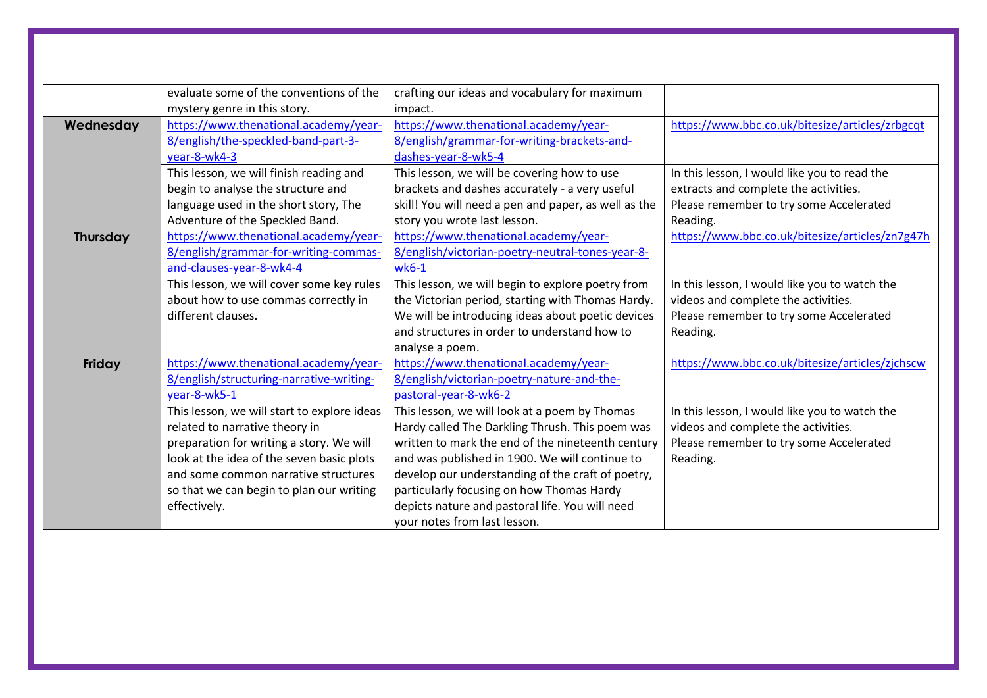|                 | evaluate some of the conventions of the     | crafting our ideas and vocabulary for maximum        |                                                 |
|-----------------|---------------------------------------------|------------------------------------------------------|-------------------------------------------------|
|                 | mystery genre in this story.                | impact.                                              |                                                 |
| Wednesday       | https://www.thenational.academy/year-       | https://www.thenational.academy/year-                | https://www.bbc.co.uk/bitesize/articles/zrbgcqt |
|                 | 8/english/the-speckled-band-part-3-         | 8/english/grammar-for-writing-brackets-and-          |                                                 |
|                 | year-8-wk4-3                                | dashes-year-8-wk5-4                                  |                                                 |
|                 | This lesson, we will finish reading and     | This lesson, we will be covering how to use          | In this lesson, I would like you to read the    |
|                 | begin to analyse the structure and          | brackets and dashes accurately - a very useful       | extracts and complete the activities.           |
|                 | language used in the short story, The       | skill! You will need a pen and paper, as well as the | Please remember to try some Accelerated         |
|                 | Adventure of the Speckled Band.             | story you wrote last lesson.                         | Reading.                                        |
| <b>Thursday</b> | https://www.thenational.academy/year-       | https://www.thenational.academy/year-                | https://www.bbc.co.uk/bitesize/articles/zn7g47h |
|                 | 8/english/grammar-for-writing-commas-       | 8/english/victorian-poetry-neutral-tones-year-8-     |                                                 |
|                 | and-clauses-year-8-wk4-4                    | $wk6-1$                                              |                                                 |
|                 | This lesson, we will cover some key rules   | This lesson, we will begin to explore poetry from    | In this lesson, I would like you to watch the   |
|                 | about how to use commas correctly in        | the Victorian period, starting with Thomas Hardy.    | videos and complete the activities.             |
|                 | different clauses.                          | We will be introducing ideas about poetic devices    | Please remember to try some Accelerated         |
|                 |                                             | and structures in order to understand how to         | Reading.                                        |
|                 |                                             | analyse a poem.                                      |                                                 |
| Friday          | https://www.thenational.academy/year-       | https://www.thenational.academy/year-                | https://www.bbc.co.uk/bitesize/articles/zjchscw |
|                 | 8/english/structuring-narrative-writing-    | 8/english/victorian-poetry-nature-and-the-           |                                                 |
|                 | vear-8-wk5-1                                | pastoral-year-8-wk6-2                                |                                                 |
|                 | This lesson, we will start to explore ideas | This lesson, we will look at a poem by Thomas        | In this lesson, I would like you to watch the   |
|                 | related to narrative theory in              | Hardy called The Darkling Thrush. This poem was      | videos and complete the activities.             |
|                 | preparation for writing a story. We will    | written to mark the end of the nineteenth century    | Please remember to try some Accelerated         |
|                 | look at the idea of the seven basic plots   | and was published in 1900. We will continue to       | Reading.                                        |
|                 | and some common narrative structures        | develop our understanding of the craft of poetry,    |                                                 |
|                 | so that we can begin to plan our writing    | particularly focusing on how Thomas Hardy            |                                                 |
|                 | effectively.                                | depicts nature and pastoral life. You will need      |                                                 |
|                 |                                             | your notes from last lesson.                         |                                                 |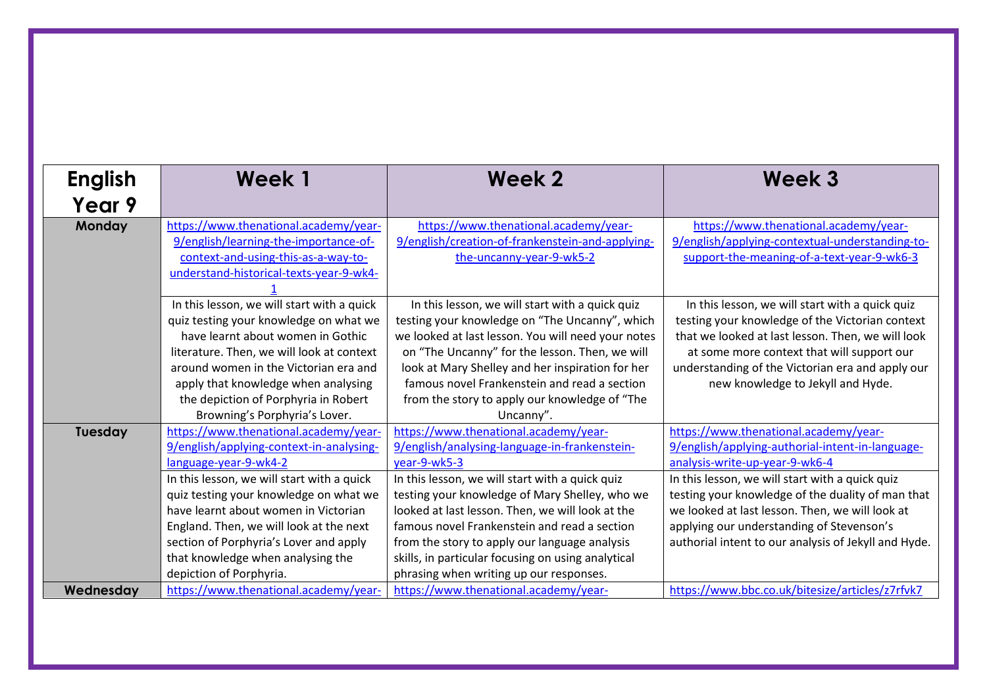| <b>English</b> | Week 1                                     | <b>Week 2</b>                                      | Week 3                                               |
|----------------|--------------------------------------------|----------------------------------------------------|------------------------------------------------------|
| Year 9         |                                            |                                                    |                                                      |
| Monday         | https://www.thenational.academy/year-      | https://www.thenational.academy/year-              | https://www.thenational.academy/year-                |
|                | 9/english/learning-the-importance-of-      | 9/english/creation-of-frankenstein-and-applying-   | 9/english/applying-contextual-understanding-to-      |
|                | context-and-using-this-as-a-way-to-        | the-uncanny-year-9-wk5-2                           | support-the-meaning-of-a-text-year-9-wk6-3           |
|                | understand-historical-texts-year-9-wk4-    |                                                    |                                                      |
|                |                                            |                                                    |                                                      |
|                | In this lesson, we will start with a quick | In this lesson, we will start with a quick quiz    | In this lesson, we will start with a quick quiz      |
|                | quiz testing your knowledge on what we     | testing your knowledge on "The Uncanny", which     | testing your knowledge of the Victorian context      |
|                | have learnt about women in Gothic          | we looked at last lesson. You will need your notes | that we looked at last lesson. Then, we will look    |
|                | literature. Then, we will look at context  | on "The Uncanny" for the lesson. Then, we will     | at some more context that will support our           |
|                | around women in the Victorian era and      | look at Mary Shelley and her inspiration for her   | understanding of the Victorian era and apply our     |
|                | apply that knowledge when analysing        | famous novel Frankenstein and read a section       | new knowledge to Jekyll and Hyde.                    |
|                | the depiction of Porphyria in Robert       | from the story to apply our knowledge of "The      |                                                      |
|                | Browning's Porphyria's Lover.              | Uncanny".                                          |                                                      |
| Tuesday        | https://www.thenational.academy/year-      | https://www.thenational.academy/year-              | https://www.thenational.academy/year-                |
|                | 9/english/applying-context-in-analysing-   | 9/english/analysing-language-in-frankenstein-      | 9/english/applying-authorial-intent-in-language-     |
|                | language-year-9-wk4-2                      | year-9-wk5-3                                       | analysis-write-up-year-9-wk6-4                       |
|                | In this lesson, we will start with a quick | In this lesson, we will start with a quick quiz    | In this lesson, we will start with a quick quiz      |
|                | quiz testing your knowledge on what we     | testing your knowledge of Mary Shelley, who we     | testing your knowledge of the duality of man that    |
|                | have learnt about women in Victorian       | looked at last lesson. Then, we will look at the   | we looked at last lesson. Then, we will look at      |
|                | England. Then, we will look at the next    | famous novel Frankenstein and read a section       | applying our understanding of Stevenson's            |
|                | section of Porphyria's Lover and apply     | from the story to apply our language analysis      | authorial intent to our analysis of Jekyll and Hyde. |
|                | that knowledge when analysing the          | skills, in particular focusing on using analytical |                                                      |
|                | depiction of Porphyria.                    | phrasing when writing up our responses.            |                                                      |
| Wednesday      | https://www.thenational.academy/year-      | https://www.thenational.academy/year-              | https://www.bbc.co.uk/bitesize/articles/z7rfvk7      |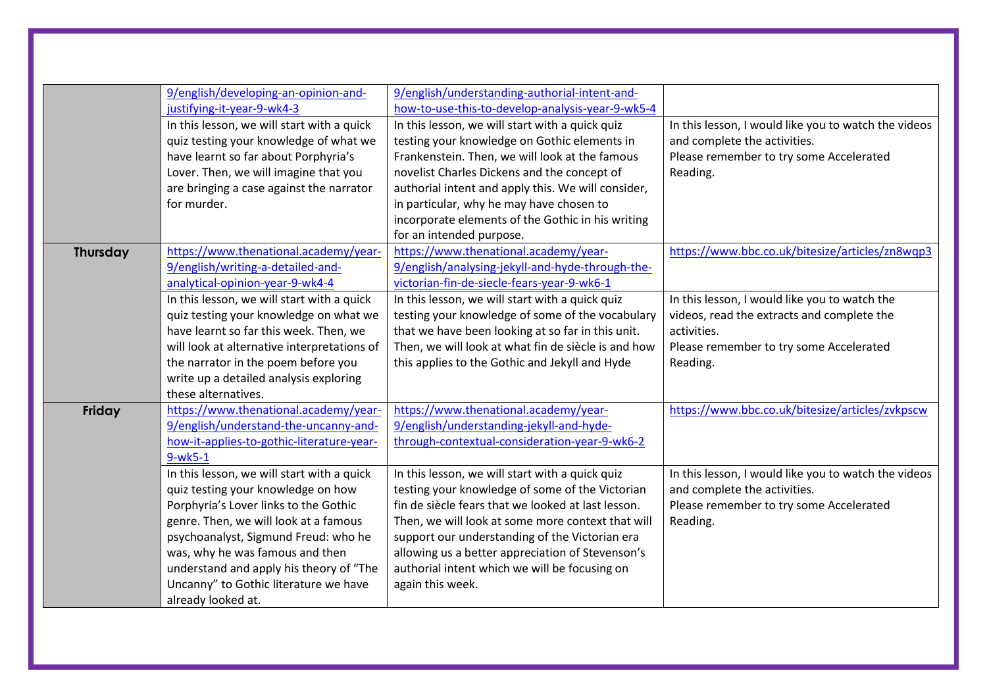|                 | 9/english/developing-an-opinion-and-                                                 | 9/english/understanding-authorial-intent-and-                                                   |                                                                                      |
|-----------------|--------------------------------------------------------------------------------------|-------------------------------------------------------------------------------------------------|--------------------------------------------------------------------------------------|
|                 | justifying-it-year-9-wk4-3                                                           | how-to-use-this-to-develop-analysis-year-9-wk5-4                                                |                                                                                      |
|                 | In this lesson, we will start with a quick<br>quiz testing your knowledge of what we | In this lesson, we will start with a quick quiz<br>testing your knowledge on Gothic elements in | In this lesson, I would like you to watch the videos<br>and complete the activities. |
|                 | have learnt so far about Porphyria's                                                 | Frankenstein. Then, we will look at the famous                                                  | Please remember to try some Accelerated                                              |
|                 | Lover. Then, we will imagine that you                                                | novelist Charles Dickens and the concept of                                                     | Reading.                                                                             |
|                 | are bringing a case against the narrator                                             | authorial intent and apply this. We will consider,                                              |                                                                                      |
|                 | for murder.                                                                          | in particular, why he may have chosen to                                                        |                                                                                      |
|                 |                                                                                      | incorporate elements of the Gothic in his writing                                               |                                                                                      |
|                 |                                                                                      | for an intended purpose.                                                                        |                                                                                      |
| <b>Thursday</b> | https://www.thenational.academy/year-                                                | https://www.thenational.academy/year-                                                           | https://www.bbc.co.uk/bitesize/articles/zn8wqp3                                      |
|                 | 9/english/writing-a-detailed-and-                                                    | 9/english/analysing-jekyll-and-hyde-through-the-                                                |                                                                                      |
|                 | analytical-opinion-year-9-wk4-4                                                      | victorian-fin-de-siecle-fears-year-9-wk6-1                                                      |                                                                                      |
|                 | In this lesson, we will start with a quick                                           | In this lesson, we will start with a quick quiz                                                 | In this lesson, I would like you to watch the                                        |
|                 | quiz testing your knowledge on what we                                               | testing your knowledge of some of the vocabulary                                                | videos, read the extracts and complete the                                           |
|                 | have learnt so far this week. Then, we                                               | that we have been looking at so far in this unit.                                               | activities.                                                                          |
|                 | will look at alternative interpretations of                                          | Then, we will look at what fin de siècle is and how                                             | Please remember to try some Accelerated                                              |
|                 | the narrator in the poem before you                                                  | this applies to the Gothic and Jekyll and Hyde                                                  | Reading.                                                                             |
|                 | write up a detailed analysis exploring                                               |                                                                                                 |                                                                                      |
|                 | these alternatives.                                                                  |                                                                                                 |                                                                                      |
| Friday          | https://www.thenational.academy/year-                                                | https://www.thenational.academy/year-                                                           | https://www.bbc.co.uk/bitesize/articles/zvkpscw                                      |
|                 | 9/english/understand-the-uncanny-and-                                                | 9/english/understanding-jekyll-and-hyde-                                                        |                                                                                      |
|                 | how-it-applies-to-gothic-literature-year-                                            | through-contextual-consideration-year-9-wk6-2                                                   |                                                                                      |
|                 | $9-wk5-1$                                                                            |                                                                                                 |                                                                                      |
|                 | In this lesson, we will start with a quick                                           | In this lesson, we will start with a quick quiz                                                 | In this lesson, I would like you to watch the videos                                 |
|                 | quiz testing your knowledge on how                                                   | testing your knowledge of some of the Victorian                                                 | and complete the activities.                                                         |
|                 | Porphyria's Lover links to the Gothic                                                | fin de siècle fears that we looked at last lesson.                                              | Please remember to try some Accelerated                                              |
|                 | genre. Then, we will look at a famous                                                | Then, we will look at some more context that will                                               | Reading.                                                                             |
|                 | psychoanalyst, Sigmund Freud: who he                                                 | support our understanding of the Victorian era                                                  |                                                                                      |
|                 | was, why he was famous and then                                                      | allowing us a better appreciation of Stevenson's                                                |                                                                                      |
|                 | understand and apply his theory of "The                                              | authorial intent which we will be focusing on                                                   |                                                                                      |
|                 | Uncanny" to Gothic literature we have                                                | again this week.                                                                                |                                                                                      |
|                 | already looked at.                                                                   |                                                                                                 |                                                                                      |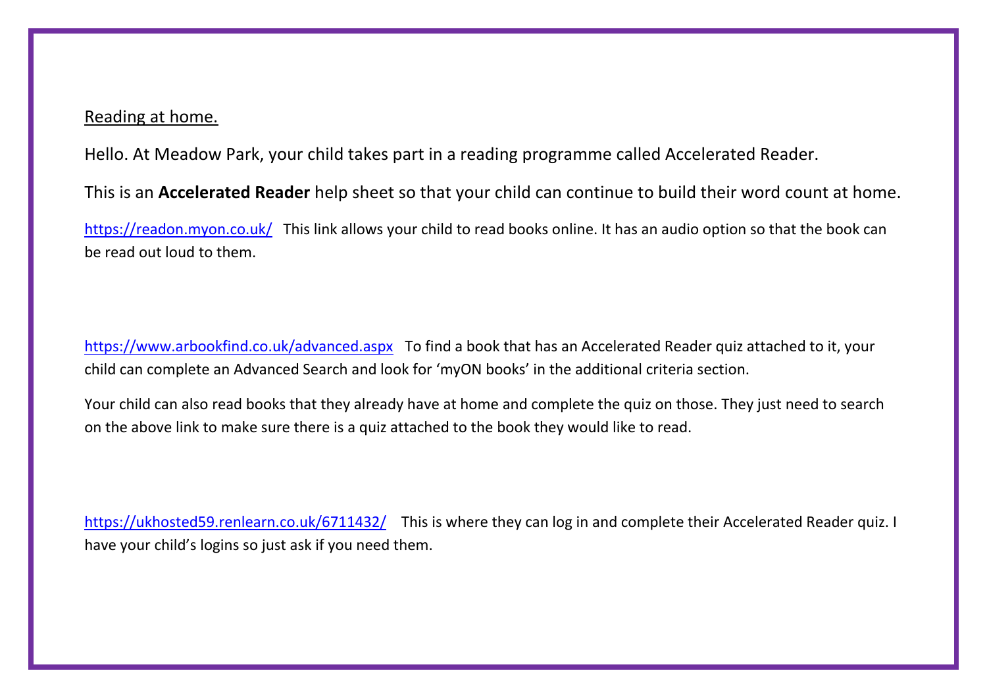## Reading at home.

Hello. At Meadow Park, your child takes part in a reading programme called Accelerated Reader.

This is an **Accelerated Reader** help sheet so that your child can continue to build their word count at home.

<https://readon.myon.co.uk/>This link allows your child to read books online. It has an audio option so that the book can be read out loud to them.

<https://www.arbookfind.co.uk/advanced.aspx> To find a book that has an Accelerated Reader quiz attached to it, your child can complete an Advanced Search and look for 'myON books' in the additional criteria section.

Your child can also read books that they already have at home and complete the quiz on those. They just need to search on the above link to make sure there is a quiz attached to the book they would like to read.

<https://ukhosted59.renlearn.co.uk/6711432/>This is where they can log in and complete their Accelerated Reader quiz. I have your child's logins so just ask if you need them.